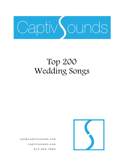

## Top 200 Wedding Songs

 jan@captivsounds.com captivsounds.com 613.304.7884

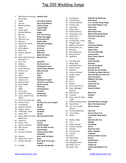## Top 200 Wedding Songs

| 1        | Mark Ronson featuring Uptown Funk            |                              |    |                           |                                                 |
|----------|----------------------------------------------|------------------------------|----|---------------------------|-------------------------------------------------|
|          | <b>Bruno Mars</b>                            |                              | 53 | Foundations               | <b>Build Me Up Buttercup</b>                    |
| 2        | Lmfao                                        | <b>Party Rock Anthem</b>     | 54 | Commodores                | <b>Brick House</b>                              |
| 3        | Journey                                      | Don't Stop Believin'         | 55 | Jackson, Michael          | P.Y.T. (Pretty Young Thing)                     |
| 4        | <b>Black Eyed Peas</b>                       | I Gotta Feeling              | 56 | Presley, Elvis            | Can't Help Falling In Love                      |
| 5        | Cupid                                        | <b>Cupid Shuffle</b>         | 57 | Lady Gaga                 | <b>Poker Face</b>                               |
| 6        | <b>Taylor Swift</b>                          | <b>Shake It Off</b>          | 58 | Minaj, Nicki              | <b>Super Bass</b>                               |
| 7        | <b>Pharrell Williams</b>                     | Happy                        | 59 | <b>Black Eyed Peas</b>    | <b>Boom Boom Pow</b>                            |
| 8        | Bon Jovi                                     | Livin' On A Prayer           | 60 | Armstrong, Louis          | <b>What A Wonderful World</b>                   |
| 9        | Maroon 5                                     | <b>Moves Like Jagger</b>     | 61 | Wild Cherry               | <b>Play That Funky Music</b>                    |
| 10       | Morrison, Van                                | <b>Brown Eyed Girl</b>       | 62 | Mraz. Jason               | I'm Yours                                       |
| 11       | Beyonce                                      | <b>Single Ladies</b>         | 63 | Flo Rida Feat. T-Pain     | Low                                             |
| 12       | Pitbull Feat. Ne-Yo,                         | <b>Give Me Everything</b>    | 64 | Village People            | <b>Y.M.C.A.</b>                                 |
| 13       | Lady Gaga                                    | <b>Just Dance</b>            | 65 | <b>Righteous Brothers</b> | <b>Unchained Melody</b>                         |
| 14       | John Legend                                  | All of me                    | 66 | Brown Band, Zac           | <b>Chicken Fried</b>                            |
| 15       | Daft Punk                                    | <b>Get Lucky</b>             | 67 | <b>Bee Gees</b>           | <b>Stayin' Alive</b>                            |
| 16       | Jackson, Michael                             | <b>Billie Jean</b>           | 68 | <b>Black Eyed Peas</b>    | The Time (Dirty Bit)                            |
| 17       | Pink                                         | <b>Raise Your Glass</b>      | 69 | House Of Pain             | <b>Jump Around</b>                              |
| 18       | Robin Thick featuring                        | <b>Blurred Lines</b>         | 70 | Big & Rich                | Save A Horse (Ride A                            |
|          | Pharrell & T.I.                              |                              |    |                           | Cowboy)                                         |
| 19       | Cruz, Taio                                   | <b>Dynamite</b>              | 71 | Diamond, Neil             | <b>Sweet Caroline</b>                           |
| 20       | Rihanna                                      | We Found Love                | 72 | Minaj, Nicki              | <b>Starships</b>                                |
| 21       | <b>Ed Sheeran</b>                            | <b>Thinking Out Loud</b>     | 73 | <b>Black Eyed Peas</b>    | Let's Get It Started                            |
| 22       | Lynyrd Skynyrd                               | <b>Sweet Home Alabama</b>    | 74 | Adams, Bryan              | Summer Of '69                                   |
| 23       | Sir Mix-A-Lot                                |                              | 75 | Rihanna                   | Only Girl (In The World)                        |
| 24       | Outkast                                      | <b>Baby Got Back</b>         | 76 | Jackson, Michael          | The Way You Make Me Feel                        |
| 25       | Usher                                        | Hey Ya!<br>Yeah              | 77 | Lauper, Cyndi             | <b>Girls Just Want To Have Fun</b>              |
| 26       | <b>Isley Brothers</b>                        | <b>Shout</b>                 | 78 | <b>Beatles</b>            | <b>Twist And Shout</b>                          |
| 27       | Clapton, Eric                                | <b>Wonderful Tonight</b>     | 79 | Adele                     | <b>Rolling In The Deep</b>                      |
|          |                                              | <b>Friends In Low Places</b> | 80 | $B-52's$                  | <b>Love Shack</b>                               |
| 28       | Brooks, Garth                                |                              | 81 | Rednex                    | <b>Cotton Eye Joe</b>                           |
| 29<br>30 | Sister Sledge                                | We Are Family                | 82 | Earth, Wind & Fire        | September                                       |
|          | Train                                        | <b>Marry Me</b>              | 83 | Dexy's Midnight           | <b>Come On Eileen</b>                           |
| 31       | ABBA                                         | <b>Dancing Queen</b>         |    | Runners                   |                                                 |
| 32       | Perry, Katy                                  | <b>Firework</b>              | 84 | Mars, Bruno               | <b>Marry You</b>                                |
| 33       | Kool & The Gang                              | <b>Celebration</b>           | 85 | Lonestar                  | Amazed                                          |
| 34       | Lopez, Jennifer Feat.                        | On The Floor                 | 86 | Mraz, Jason & Colbie      | Lucky                                           |
|          | Pitbull                                      |                              |    | Caillat                   |                                                 |
| 35       | Usher Feat. Will.I.Am                        | Omg                          | 87 |                           | California Swag District Teach Me How To Dougie |
| 36       | Sinatra, Frank                               | The Way You Look Tonight     | 88 | <b>Rascal Flatts</b>      | <b>Bless The Broken Road</b>                    |
| 37       | Temptations                                  | My Girl                      | 89 | Fun. Feat. Janelle        | We Are Young                                    |
| 38       | Jackson, Michael                             | <b>Thriller</b>              |    | Monae                     |                                                 |
| 39       | Loggins, Kenny                               | <b>Footloose</b>             | 90 | Far East Movement         | Like A G6                                       |
| 40       | Timberlake, Justin                           | <b>Sexyback</b>              | 91 | Cyrus, Miley              | Party In The U.S.A.                             |
| 41       | James, Etta                                  | At Last                      | 92 | Queen                     | <b>Crazy Little Thing Called</b>                |
| 42       | Seger, Bob & The Silver Old Time Rock & Roll |                              |    |                           | Love                                            |
|          | <b>Bullet Band</b>                           |                              | 93 | Shelton, Blake            | <b>God Gave Me You</b>                          |
| 43       | Vanilla Ice                                  | Ice Ice Baby                 | 94 | V.I.C.                    | Wobble                                          |
| 44       | Brown, Chris                                 | <b>Forever</b>               | 95 | Buble, Michael            | <b>Everything</b>                               |
| 45       | Jepsen, Carly Rae                            | <b>Call Me Maybe</b>         | 96 | Jackson, Michael          | Beat It                                         |
| 46       | Mars, Bruno                                  | <b>Just The Way You Are</b>  | 97 | Wanted                    | <b>Glad You Came</b>                            |
| 47       | Flo Rida                                     | Good Feeling                 | 98 | Johnson, Jack             | <b>Better Together</b>                          |
| 48       | Houston, Whitney                             | I Wanna Dance With           | 99 | Journey                   | <b>Faithfully</b>                               |
|          |                                              | Somebody                     |    | 100 Usher                 | DJ Got Us Fallin' In Love                       |
| 49       | Rihanna                                      | Don't Stop The Music         |    | 101 Salt-N-Pepa           | Push It                                         |
| 50       | Lmfao Feat. Lil Jon                          | Shots                        |    | 102 Lady Gaga             | <b>Bad Romance</b>                              |
| 51       | Jackson, Michael                             | Don't Stop 'Til You Get      |    | 103 Springfield, Rick     | Jessie's Girl                                   |
|          |                                              | Enough                       |    | 104 Green, Cee Lo         | <b>Forget You</b>                               |
| 52       | Flo Rida                                     | <b>Club Can't Handle Me</b>  |    |                           |                                                 |
|          |                                              |                              |    | 105 Bryan, Luke           | <b>Country Girl (Shake It For</b>               |

**Me)**